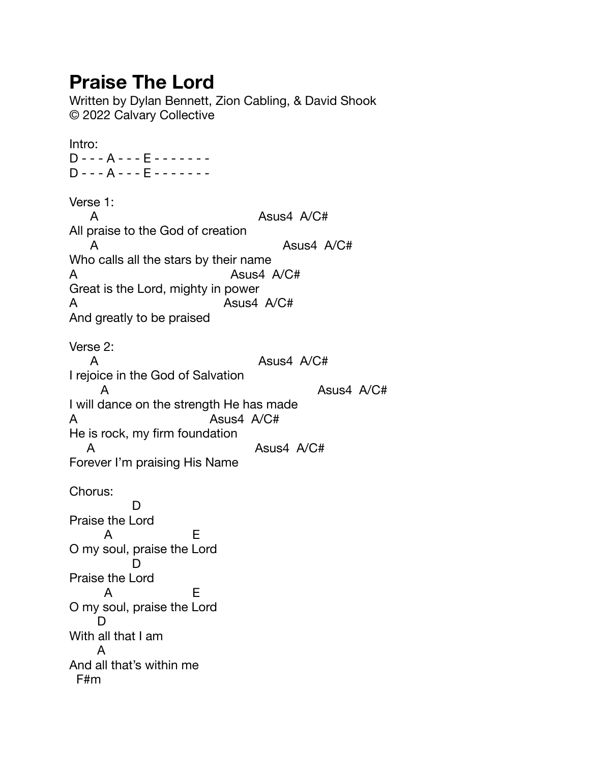## **Praise The Lord**

Written by Dylan Bennett, Zion Cabling, & David Shook © 2022 Calvary Collective

Intro: D - - - A - - - E - - - - - - - D - - - A - - - E - - - - - - - Verse 1: A ASus4 A/C# All praise to the God of creation A ASUS4 A/C# Who calls all the stars by their name A Asus4 A/C# Great is the Lord, mighty in power A Asus4 A/C# And greatly to be praised Verse 2: A ASus4 A/C# I rejoice in the God of Salvation A ASUS4 A/C# I will dance on the strength He has made A Asus4 A/C# He is rock, my firm foundation A Asus4 A/C# Forever I'm praising His Name Chorus: D Praise the Lord A E O my soul, praise the Lord **District D** Praise the Lord A E O my soul, praise the Lord D With all that I am A And all that's within me F#m